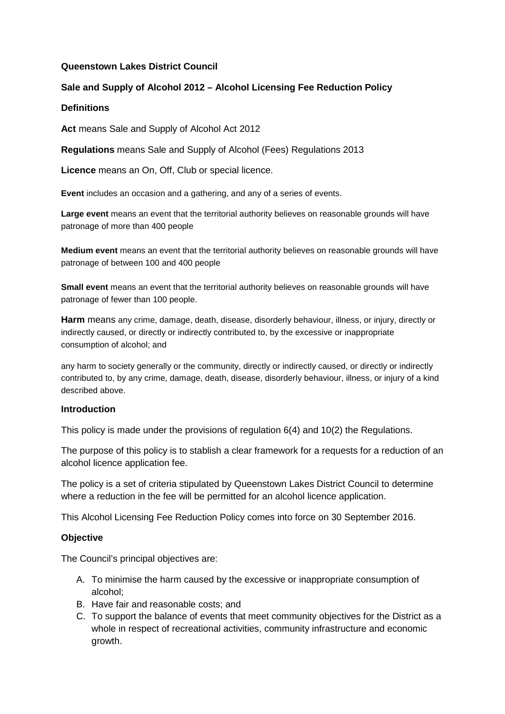### **Queenstown Lakes District Council**

## **Sale and Supply of Alcohol 2012 – Alcohol Licensing Fee Reduction Policy**

### **Definitions**

**Act** means Sale and Supply of Alcohol Act 2012

**Regulations** means Sale and Supply of Alcohol (Fees) Regulations 2013

**Licence** means an On, Off, Club or special licence.

**Event** includes an occasion and a gathering, and any of a series of events.

**Large event** means an event that the territorial authority believes on reasonable grounds will have patronage of more than 400 people

**Medium event** means an event that the territorial authority believes on reasonable grounds will have patronage of between 100 and 400 people

**Small event** means an event that the territorial authority believes on reasonable grounds will have patronage of fewer than 100 people.

**Harm** means any crime, damage, death, disease, disorderly behaviour, illness, or injury, directly or indirectly caused, or directly or indirectly contributed to, by the excessive or inappropriate consumption of alcohol; and

any harm to society generally or the community, directly or indirectly caused, or directly or indirectly contributed to, by any crime, damage, death, disease, disorderly behaviour, illness, or injury of a kind described above.

### **Introduction**

This policy is made under the provisions of regulation 6(4) and 10(2) the Regulations.

The purpose of this policy is to stablish a clear framework for a requests for a reduction of an alcohol licence application fee.

The policy is a set of criteria stipulated by Queenstown Lakes District Council to determine where a reduction in the fee will be permitted for an alcohol licence application.

This Alcohol Licensing Fee Reduction Policy comes into force on 30 September 2016.

### **Objective**

The Council's principal objectives are:

- A. To minimise the harm caused by the excessive or inappropriate consumption of alcohol;
- B. Have fair and reasonable costs; and
- C. To support the balance of events that meet community objectives for the District as a whole in respect of recreational activities, community infrastructure and economic growth.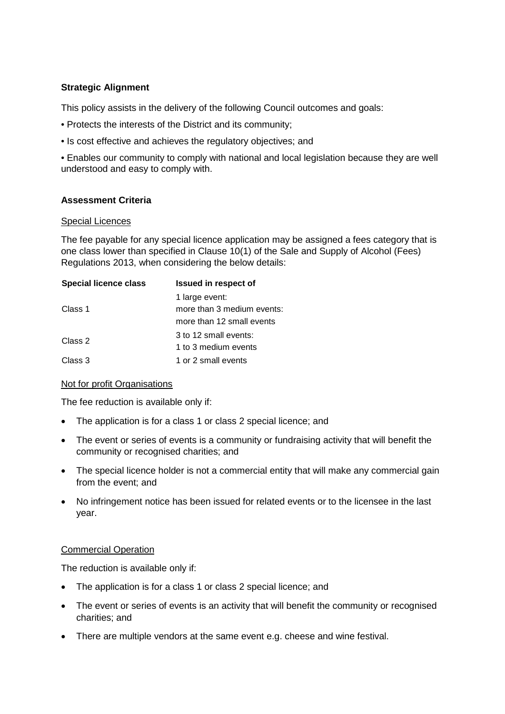### **Strategic Alignment**

This policy assists in the delivery of the following Council outcomes and goals:

- Protects the interests of the District and its community;
- Is cost effective and achieves the regulatory objectives; and

• Enables our community to comply with national and local legislation because they are well understood and easy to comply with.

## **Assessment Criteria**

#### Special Licences

The fee payable for any special licence application may be assigned a fees category that is one class lower than specified in Clause 10(1) of the Sale and Supply of Alcohol (Fees) Regulations 2013, when considering the below details:

| <b>Special licence class</b> | <b>Issued in respect of</b> |
|------------------------------|-----------------------------|
| Class 1                      | 1 large event:              |
|                              | more than 3 medium events:  |
|                              | more than 12 small events   |
| Class 2                      | 3 to 12 small events:       |
|                              | 1 to 3 medium events        |
| Class 3                      | 1 or 2 small events         |

### Not for profit Organisations

The fee reduction is available only if:

- The application is for a class 1 or class 2 special licence; and
- The event or series of events is a community or fundraising activity that will benefit the community or recognised charities; and
- The special licence holder is not a commercial entity that will make any commercial gain from the event; and
- No infringement notice has been issued for related events or to the licensee in the last year.

### Commercial Operation

The reduction is available only if:

- The application is for a class 1 or class 2 special licence; and
- The event or series of events is an activity that will benefit the community or recognised charities; and
- There are multiple vendors at the same event e.g. cheese and wine festival.